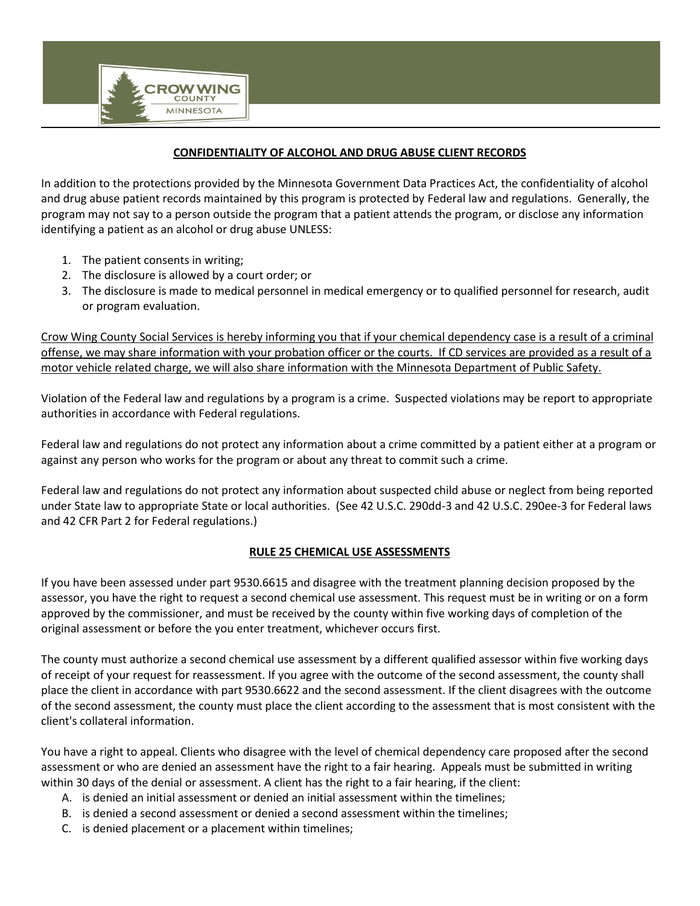

In addition to the protections provided by the Minnesota Government Data Practices Act, the confidentiality of alcohol and drug abuse patient records maintained by this program is protected by Federal law and regulations. Generally, the program may not say to a person outside the program that a patient attends the program, or disclose any information identifying a patient as an alcohol or drug abuse UNLESS:

- 1. The patient consents in writing;
- 2. The disclosure is allowed by a court order; or

**ROW WING COUNT MINNESOTA** 

3. The disclosure is made to medical personnel in medical emergency or to qualified personnel for research, audit or program evaluation.

Crow Wing County Social Services is hereby informing you that if your chemical dependency case is a result of a criminal offense, we may share information with your probation officer or the courts. If CD services are provided as a result of a motor vehicle related charge, we will also share information with the Minnesota Department of Public Safety.

Violation of the Federal law and regulations by a program is a crime. Suspected violations may be report to appropriate authorities in accordance with Federal regulations.

Federal law and regulations do not protect any information about a crime committed by a patient either at a program or against any person who works for the program or about any threat to commit such a crime.

Federal law and regulations do not protect any information about suspected child abuse or neglect from being reported under State law to appropriate State or local authorities. (See 42 U.S.C. 290dd-3 and 42 U.S.C. 290ee-3 for Federal laws and 42 CFR Part 2 for Federal regulations.)

## **RULE 25 CHEMICAL USE ASSESSMENTS**

If you have been assessed under part 9530.6615 and disagree with the treatment planning decision proposed by the assessor, you have the right to request a second chemical use assessment. This request must be in writing or on a form approved by the commissioner, and must be received by the county within five working days of completion of the original assessment or before the you enter treatment, whichever occurs first.

The county must authorize a second chemical use assessment by a different qualified assessor within five working days of receipt of your request for reassessment. If you agree with the outcome of the second assessment, the county shall place the client in accordance with part 9530.6622 and the second assessment. If the client disagrees with the outcome of the second assessment, the county must place the client according to the assessment that is most consistent with the client's collateral information.

You have a right to appeal. Clients who disagree with the level of chemical dependency care proposed after the second assessment or who are denied an assessment have the right to a fair hearing. Appeals must be submitted in writing within 30 days of the denial or assessment. A client has the right to a fair hearing, if the client:

- A. is denied an initial assessment or denied an initial assessment within the timelines;
- B. is denied a second assessment or denied a second assessment within the timelines;
- C. is denied placement or a placement within timelines;